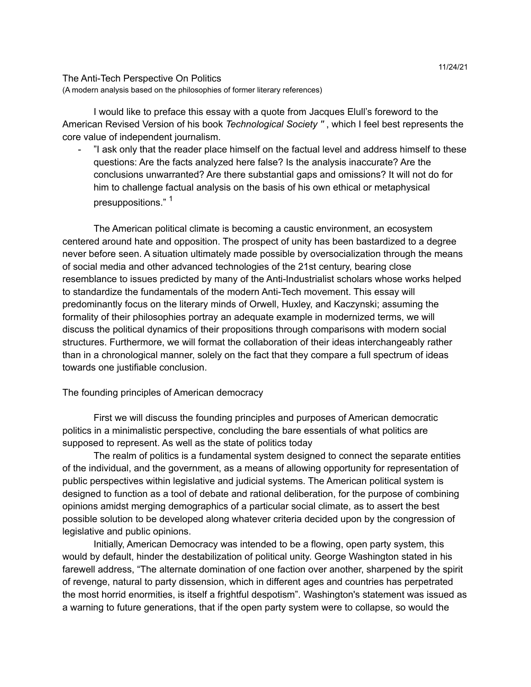## The Anti-Tech Perspective On Politics (A modern analysis based on the philosophies of former literary references)

I would like to preface this essay with a quote from Jacques Elull's foreword to the American Revised Version of his book *Technological Society ''* , which I feel best represents the core value of independent journalism.

- "I ask only that the reader place himself on the factual level and address himself to these questions: Are the facts analyzed here false? Is the analysis inaccurate? Are the conclusions unwarranted? Are there substantial gaps and omissions? It will not do for him to challenge factual analysis on the basis of his own ethical or metaphysical presuppositions." <sup>1</sup>

The American political climate is becoming a caustic environment, an ecosystem centered around hate and opposition. The prospect of unity has been bastardized to a degree never before seen. A situation ultimately made possible by oversocialization through the means of social media and other advanced technologies of the 21st century, bearing close resemblance to issues predicted by many of the Anti-Industrialist scholars whose works helped to standardize the fundamentals of the modern Anti-Tech movement. This essay will predominantly focus on the literary minds of Orwell, Huxley, and Kaczynski; assuming the formality of their philosophies portray an adequate example in modernized terms, we will discuss the political dynamics of their propositions through comparisons with modern social structures. Furthermore, we will format the collaboration of their ideas interchangeably rather than in a chronological manner, solely on the fact that they compare a full spectrum of ideas towards one justifiable conclusion.

# The founding principles of American democracy

First we will discuss the founding principles and purposes of American democratic politics in a minimalistic perspective, concluding the bare essentials of what politics are supposed to represent. As well as the state of politics today

The realm of politics is a fundamental system designed to connect the separate entities of the individual, and the government, as a means of allowing opportunity for representation of public perspectives within legislative and judicial systems. The American political system is designed to function as a tool of debate and rational deliberation, for the purpose of combining opinions amidst merging demographics of a particular social climate, as to assert the best possible solution to be developed along whatever criteria decided upon by the congression of legislative and public opinions.

Initially, American Democracy was intended to be a flowing, open party system, this would by default, hinder the destabilization of political unity. George Washington stated in his farewell address, "The alternate domination of one faction over another, sharpened by the spirit of revenge, natural to party dissension, which in different ages and countries has perpetrated the most horrid enormities, is itself a frightful despotism". Washington's statement was issued as a warning to future generations, that if the open party system were to collapse, so would the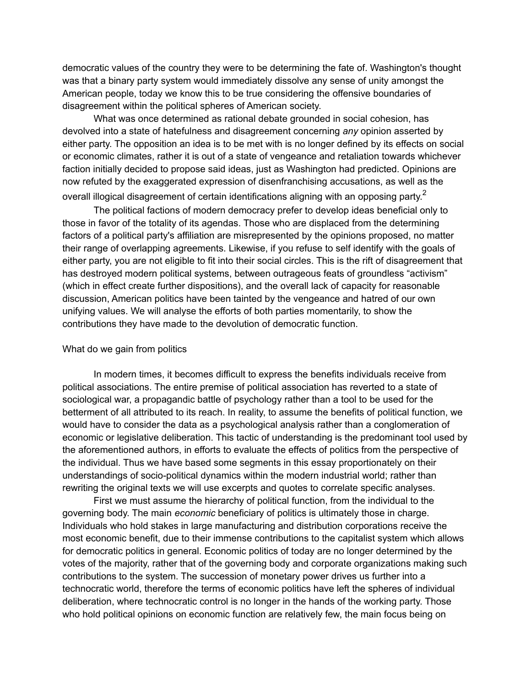democratic values of the country they were to be determining the fate of. Washington's thought was that a binary party system would immediately dissolve any sense of unity amongst the American people, today we know this to be true considering the offensive boundaries of disagreement within the political spheres of American society.

What was once determined as rational debate grounded in social cohesion, has devolved into a state of hatefulness and disagreement concerning *any* opinion asserted by either party. The opposition an idea is to be met with is no longer defined by its effects on social or economic climates, rather it is out of a state of vengeance and retaliation towards whichever faction initially decided to propose said ideas, just as Washington had predicted. Opinions are now refuted by the exaggerated expression of disenfranchising accusations, as well as the overall illogical disagreement of certain identifications aligning with an opposing party.<sup>2</sup>

The political factions of modern democracy prefer to develop ideas beneficial only to those in favor of the totality of its agendas. Those who are displaced from the determining factors of a political party's affiliation are misrepresented by the opinions proposed, no matter their range of overlapping agreements. Likewise, if you refuse to self identify with the goals of either party, you are not eligible to fit into their social circles. This is the rift of disagreement that has destroyed modern political systems, between outrageous feats of groundless "activism" (which in effect create further dispositions), and the overall lack of capacity for reasonable discussion, American politics have been tainted by the vengeance and hatred of our own unifying values. We will analyse the efforts of both parties momentarily, to show the contributions they have made to the devolution of democratic function.

### What do we gain from politics

In modern times, it becomes difficult to express the benefits individuals receive from political associations. The entire premise of political association has reverted to a state of sociological war, a propagandic battle of psychology rather than a tool to be used for the betterment of all attributed to its reach. In reality, to assume the benefits of political function, we would have to consider the data as a psychological analysis rather than a conglomeration of economic or legislative deliberation. This tactic of understanding is the predominant tool used by the aforementioned authors, in efforts to evaluate the effects of politics from the perspective of the individual. Thus we have based some segments in this essay proportionately on their understandings of socio-political dynamics within the modern industrial world; rather than rewriting the original texts we will use excerpts and quotes to correlate specific analyses.

First we must assume the hierarchy of political function, from the individual to the governing body. The main *economic* beneficiary of politics is ultimately those in charge. Individuals who hold stakes in large manufacturing and distribution corporations receive the most economic benefit, due to their immense contributions to the capitalist system which allows for democratic politics in general. Economic politics of today are no longer determined by the votes of the majority, rather that of the governing body and corporate organizations making such contributions to the system. The succession of monetary power drives us further into a technocratic world, therefore the terms of economic politics have left the spheres of individual deliberation, where technocratic control is no longer in the hands of the working party. Those who hold political opinions on economic function are relatively few, the main focus being on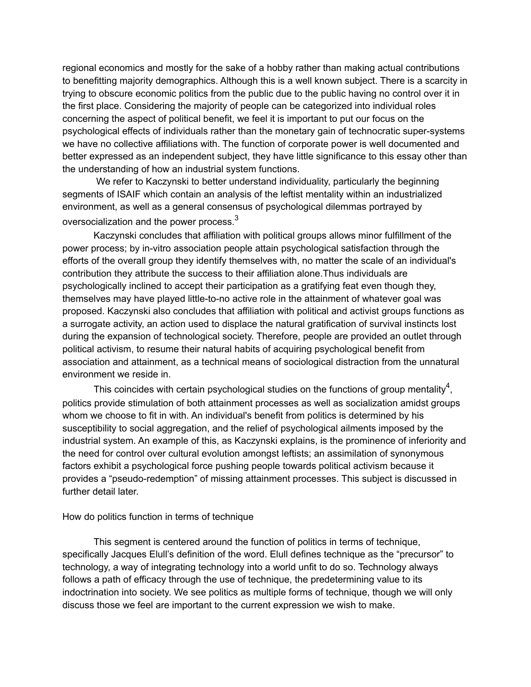regional economics and mostly for the sake of a hobby rather than making actual contributions to benefitting majority demographics. Although this is a well known subject. There is a scarcity in trying to obscure economic politics from the public due to the public having no control over it in the first place. Considering the majority of people can be categorized into individual roles concerning the aspect of political benefit, we feel it is important to put our focus on the psychological effects of individuals rather than the monetary gain of technocratic super-systems we have no collective affiliations with. The function of corporate power is well documented and better expressed as an independent subject, they have little significance to this essay other than the understanding of how an industrial system functions.

We refer to Kaczynski to better understand individuality, particularly the beginning segments of ISAIF which contain an analysis of the leftist mentality within an industrialized environment, as well as a general consensus of psychological dilemmas portrayed by oversocialization and the power process. $^3$ 

Kaczynski concludes that affiliation with political groups allows minor fulfillment of the power process; by in-vitro association people attain psychological satisfaction through the efforts of the overall group they identify themselves with, no matter the scale of an individual's contribution they attribute the success to their affiliation alone.Thus individuals are psychologically inclined to accept their participation as a gratifying feat even though they, themselves may have played little-to-no active role in the attainment of whatever goal was proposed. Kaczynski also concludes that affiliation with political and activist groups functions as a surrogate activity, an action used to displace the natural gratification of survival instincts lost during the expansion of technological society. Therefore, people are provided an outlet through political activism, to resume their natural habits of acquiring psychological benefit from association and attainment, as a technical means of sociological distraction from the unnatural environment we reside in.

This coincides with certain psychological studies on the functions of group mentality<sup>4</sup>, politics provide stimulation of both attainment processes as well as socialization amidst groups whom we choose to fit in with. An individual's benefit from politics is determined by his susceptibility to social aggregation, and the relief of psychological ailments imposed by the industrial system. An example of this, as Kaczynski explains, is the prominence of inferiority and the need for control over cultural evolution amongst leftists; an assimilation of synonymous factors exhibit a psychological force pushing people towards political activism because it provides a "pseudo-redemption" of missing attainment processes. This subject is discussed in further detail later

### How do politics function in terms of technique

This segment is centered around the function of politics in terms of technique, specifically Jacques Elull's definition of the word. Elull defines technique as the "precursor" to technology, a way of integrating technology into a world unfit to do so. Technology always follows a path of efficacy through the use of technique, the predetermining value to its indoctrination into society. We see politics as multiple forms of technique, though we will only discuss those we feel are important to the current expression we wish to make.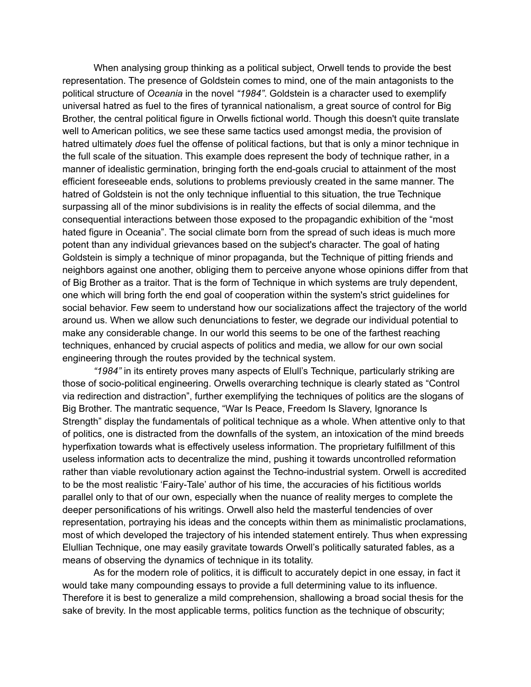When analysing group thinking as a political subject, Orwell tends to provide the best representation. The presence of Goldstein comes to mind, one of the main antagonists to the political structure of *Oceania* in the novel *"1984"*. Goldstein is a character used to exemplify universal hatred as fuel to the fires of tyrannical nationalism, a great source of control for Big Brother, the central political figure in Orwells fictional world. Though this doesn't quite translate well to American politics, we see these same tactics used amongst media, the provision of hatred ultimately *does* fuel the offense of political factions, but that is only a minor technique in the full scale of the situation. This example does represent the body of technique rather, in a manner of idealistic germination, bringing forth the end-goals crucial to attainment of the most efficient foreseeable ends, solutions to problems previously created in the same manner. The hatred of Goldstein is not the only technique influential to this situation, the true Technique surpassing all of the minor subdivisions is in reality the effects of social dilemma, and the consequential interactions between those exposed to the propagandic exhibition of the "most hated figure in Oceania". The social climate born from the spread of such ideas is much more potent than any individual grievances based on the subject's character. The goal of hating Goldstein is simply a technique of minor propaganda, but the Technique of pitting friends and neighbors against one another, obliging them to perceive anyone whose opinions differ from that of Big Brother as a traitor. That is the form of Technique in which systems are truly dependent, one which will bring forth the end goal of cooperation within the system's strict guidelines for social behavior. Few seem to understand how our socializations affect the trajectory of the world around us. When we allow such denunciations to fester, we degrade our individual potential to make any considerable change. In our world this seems to be one of the farthest reaching techniques, enhanced by crucial aspects of politics and media, we allow for our own social engineering through the routes provided by the technical system.

*"1984"* in its entirety proves many aspects of Elull's Technique, particularly striking are those of socio-political engineering. Orwells overarching technique is clearly stated as "Control via redirection and distraction", further exemplifying the techniques of politics are the slogans of Big Brother. The mantratic sequence, "War Is Peace, Freedom Is Slavery, Ignorance Is Strength" display the fundamentals of political technique as a whole. When attentive only to that of politics, one is distracted from the downfalls of the system, an intoxication of the mind breeds hyperfixation towards what is effectively useless information. The proprietary fulfillment of this useless information acts to decentralize the mind, pushing it towards uncontrolled reformation rather than viable revolutionary action against the Techno-industrial system. Orwell is accredited to be the most realistic 'Fairy-Tale' author of his time, the accuracies of his fictitious worlds parallel only to that of our own, especially when the nuance of reality merges to complete the deeper personifications of his writings. Orwell also held the masterful tendencies of over representation, portraying his ideas and the concepts within them as minimalistic proclamations, most of which developed the trajectory of his intended statement entirely. Thus when expressing Elullian Technique, one may easily gravitate towards Orwell's politically saturated fables, as a means of observing the dynamics of technique in its totality.

As for the modern role of politics, it is difficult to accurately depict in one essay, in fact it would take many compounding essays to provide a full determining value to its influence. Therefore it is best to generalize a mild comprehension, shallowing a broad social thesis for the sake of brevity. In the most applicable terms, politics function as the technique of obscurity;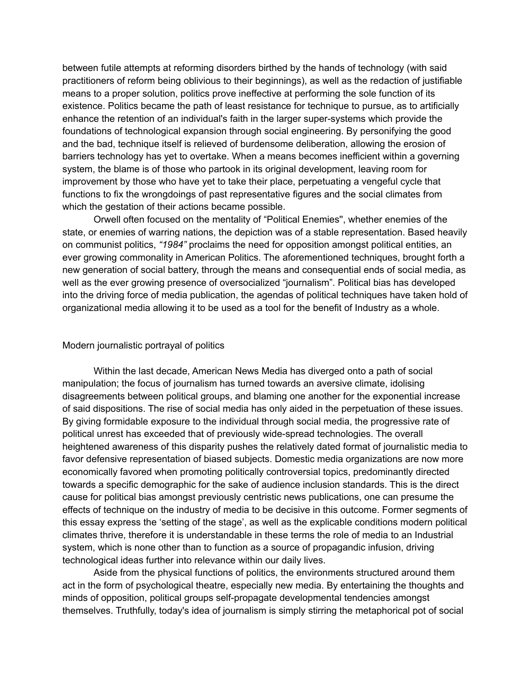between futile attempts at reforming disorders birthed by the hands of technology (with said practitioners of reform being oblivious to their beginnings), as well as the redaction of justifiable means to a proper solution, politics prove ineffective at performing the sole function of its existence. Politics became the path of least resistance for technique to pursue, as to artificially enhance the retention of an individual's faith in the larger super-systems which provide the foundations of technological expansion through social engineering. By personifying the good and the bad, technique itself is relieved of burdensome deliberation, allowing the erosion of barriers technology has yet to overtake. When a means becomes inefficient within a governing system, the blame is of those who partook in its original development, leaving room for improvement by those who have yet to take their place, perpetuating a vengeful cycle that functions to fix the wrongdoings of past representative figures and the social climates from which the gestation of their actions became possible.

Orwell often focused on the mentality of "Political Enemies'', whether enemies of the state, or enemies of warring nations, the depiction was of a stable representation. Based heavily on communist politics, *"1984"* proclaims the need for opposition amongst political entities, an ever growing commonality in American Politics. The aforementioned techniques, brought forth a new generation of social battery, through the means and consequential ends of social media, as well as the ever growing presence of oversocialized "journalism". Political bias has developed into the driving force of media publication, the agendas of political techniques have taken hold of organizational media allowing it to be used as a tool for the benefit of Industry as a whole.

## Modern journalistic portrayal of politics

Within the last decade, American News Media has diverged onto a path of social manipulation; the focus of journalism has turned towards an aversive climate, idolising disagreements between political groups, and blaming one another for the exponential increase of said dispositions. The rise of social media has only aided in the perpetuation of these issues. By giving formidable exposure to the individual through social media, the progressive rate of political unrest has exceeded that of previously wide-spread technologies. The overall heightened awareness of this disparity pushes the relatively dated format of journalistic media to favor defensive representation of biased subjects. Domestic media organizations are now more economically favored when promoting politically controversial topics, predominantly directed towards a specific demographic for the sake of audience inclusion standards. This is the direct cause for political bias amongst previously centristic news publications, one can presume the effects of technique on the industry of media to be decisive in this outcome. Former segments of this essay express the 'setting of the stage', as well as the explicable conditions modern political climates thrive, therefore it is understandable in these terms the role of media to an Industrial system, which is none other than to function as a source of propagandic infusion, driving technological ideas further into relevance within our daily lives.

Aside from the physical functions of politics, the environments structured around them act in the form of psychological theatre, especially new media. By entertaining the thoughts and minds of opposition, political groups self-propagate developmental tendencies amongst themselves. Truthfully, today's idea of journalism is simply stirring the metaphorical pot of social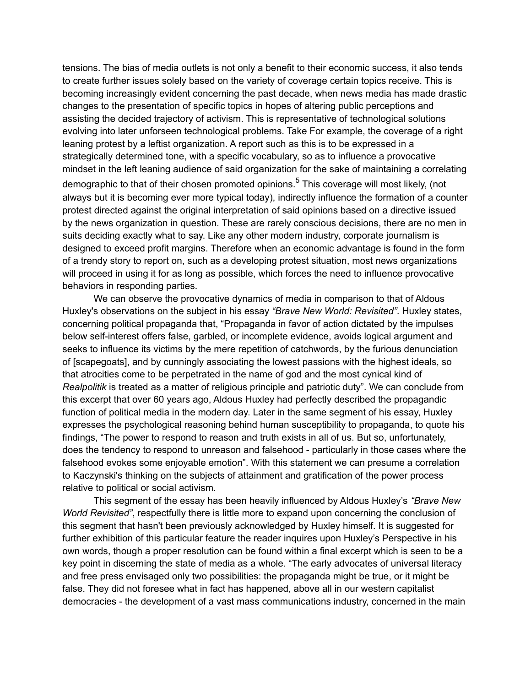tensions. The bias of media outlets is not only a benefit to their economic success, it also tends to create further issues solely based on the variety of coverage certain topics receive. This is becoming increasingly evident concerning the past decade, when news media has made drastic changes to the presentation of specific topics in hopes of altering public perceptions and assisting the decided trajectory of activism. This is representative of technological solutions evolving into later unforseen technological problems. Take For example, the coverage of a right leaning protest by a leftist organization. A report such as this is to be expressed in a strategically determined tone, with a specific vocabulary, so as to influence a provocative mindset in the left leaning audience of said organization for the sake of maintaining a correlating demographic to that of their chosen promoted opinions.<sup>5</sup> This coverage will most likely, (not always but it is becoming ever more typical today), indirectly influence the formation of a counter protest directed against the original interpretation of said opinions based on a directive issued by the news organization in question. These are rarely conscious decisions, there are no men in suits deciding exactly what to say. Like any other modern industry, corporate journalism is designed to exceed profit margins. Therefore when an economic advantage is found in the form of a trendy story to report on, such as a developing protest situation, most news organizations will proceed in using it for as long as possible, which forces the need to influence provocative behaviors in responding parties.

We can observe the provocative dynamics of media in comparison to that of Aldous Huxley's observations on the subject in his essay *"Brave New World: Revisited"*. Huxley states, concerning political propaganda that, "Propaganda in favor of action dictated by the impulses below self-interest offers false, garbled, or incomplete evidence, avoids logical argument and seeks to influence its victims by the mere repetition of catchwords, by the furious denunciation of [scapegoats], and by cunningly associating the lowest passions with the highest ideals, so that atrocities come to be perpetrated in the name of god and the most cynical kind of *Realpolitik* is treated as a matter of religious principle and patriotic duty". We can conclude from this excerpt that over 60 years ago, Aldous Huxley had perfectly described the propagandic function of political media in the modern day. Later in the same segment of his essay, Huxley expresses the psychological reasoning behind human susceptibility to propaganda, to quote his findings, "The power to respond to reason and truth exists in all of us. But so, unfortunately, does the tendency to respond to unreason and falsehood - particularly in those cases where the falsehood evokes some enjoyable emotion". With this statement we can presume a correlation to Kaczynski's thinking on the subjects of attainment and gratification of the power process relative to political or social activism.

This segment of the essay has been heavily influenced by Aldous Huxley's *"Brave New World Revisited"*, respectfully there is little more to expand upon concerning the conclusion of this segment that hasn't been previously acknowledged by Huxley himself. It is suggested for further exhibition of this particular feature the reader inquires upon Huxley's Perspective in his own words, though a proper resolution can be found within a final excerpt which is seen to be a key point in discerning the state of media as a whole. "The early advocates of universal literacy and free press envisaged only two possibilities: the propaganda might be true, or it might be false. They did not foresee what in fact has happened, above all in our western capitalist democracies - the development of a vast mass communications industry, concerned in the main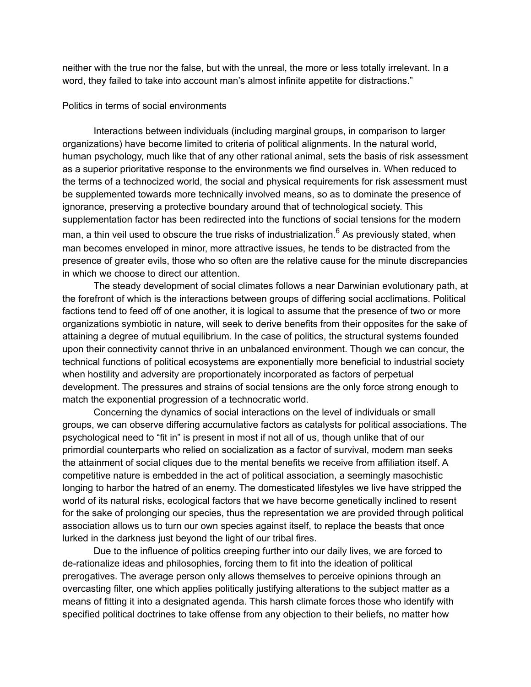neither with the true nor the false, but with the unreal, the more or less totally irrelevant. In a word, they failed to take into account man's almost infinite appetite for distractions."

#### Politics in terms of social environments

Interactions between individuals (including marginal groups, in comparison to larger organizations) have become limited to criteria of political alignments. In the natural world, human psychology, much like that of any other rational animal, sets the basis of risk assessment as a superior prioritative response to the environments we find ourselves in. When reduced to the terms of a technocized world, the social and physical requirements for risk assessment must be supplemented towards more technically involved means, so as to dominate the presence of ignorance, preserving a protective boundary around that of technological society. This supplementation factor has been redirected into the functions of social tensions for the modern man, a thin veil used to obscure the true risks of industrialization.<sup>6</sup> As previously stated, when man becomes enveloped in minor, more attractive issues, he tends to be distracted from the presence of greater evils, those who so often are the relative cause for the minute discrepancies in which we choose to direct our attention.

The steady development of social climates follows a near Darwinian evolutionary path, at the forefront of which is the interactions between groups of differing social acclimations. Political factions tend to feed off of one another, it is logical to assume that the presence of two or more organizations symbiotic in nature, will seek to derive benefits from their opposites for the sake of attaining a degree of mutual equilibrium. In the case of politics, the structural systems founded upon their connectivity cannot thrive in an unbalanced environment. Though we can concur, the technical functions of political ecosystems are exponentially more beneficial to industrial society when hostility and adversity are proportionately incorporated as factors of perpetual development. The pressures and strains of social tensions are the only force strong enough to match the exponential progression of a technocratic world.

Concerning the dynamics of social interactions on the level of individuals or small groups, we can observe differing accumulative factors as catalysts for political associations. The psychological need to "fit in" is present in most if not all of us, though unlike that of our primordial counterparts who relied on socialization as a factor of survival, modern man seeks the attainment of social cliques due to the mental benefits we receive from affiliation itself. A competitive nature is embedded in the act of political association, a seemingly masochistic longing to harbor the hatred of an enemy. The domesticated lifestyles we live have stripped the world of its natural risks, ecological factors that we have become genetically inclined to resent for the sake of prolonging our species, thus the representation we are provided through political association allows us to turn our own species against itself, to replace the beasts that once lurked in the darkness just beyond the light of our tribal fires.

Due to the influence of politics creeping further into our daily lives, we are forced to de-rationalize ideas and philosophies, forcing them to fit into the ideation of political prerogatives. The average person only allows themselves to perceive opinions through an overcasting filter, one which applies politically justifying alterations to the subject matter as a means of fitting it into a designated agenda. This harsh climate forces those who identify with specified political doctrines to take offense from any objection to their beliefs, no matter how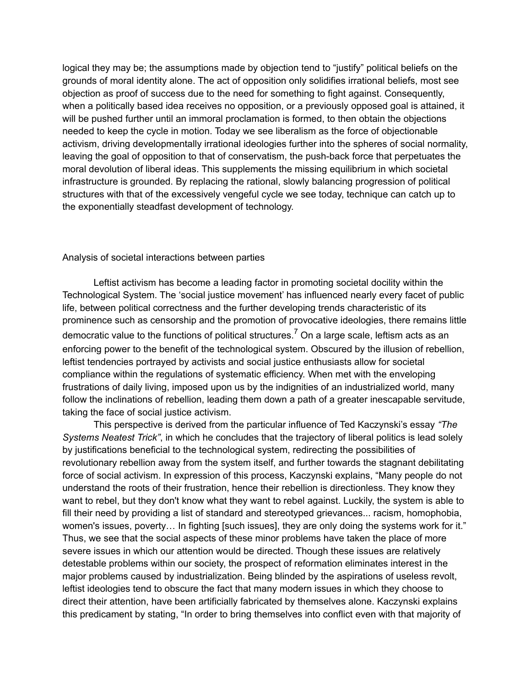logical they may be; the assumptions made by objection tend to "justify" political beliefs on the grounds of moral identity alone. The act of opposition only solidifies irrational beliefs, most see objection as proof of success due to the need for something to fight against. Consequently, when a politically based idea receives no opposition, or a previously opposed goal is attained, it will be pushed further until an immoral proclamation is formed, to then obtain the objections needed to keep the cycle in motion. Today we see liberalism as the force of objectionable activism, driving developmentally irrational ideologies further into the spheres of social normality, leaving the goal of opposition to that of conservatism, the push-back force that perpetuates the moral devolution of liberal ideas. This supplements the missing equilibrium in which societal infrastructure is grounded. By replacing the rational, slowly balancing progression of political structures with that of the excessively vengeful cycle we see today, technique can catch up to the exponentially steadfast development of technology.

### Analysis of societal interactions between parties

Leftist activism has become a leading factor in promoting societal docility within the Technological System. The 'social justice movement' has influenced nearly every facet of public life, between political correctness and the further developing trends characteristic of its prominence such as censorship and the promotion of provocative ideologies, there remains little democratic value to the functions of political structures.<sup>7</sup> On a large scale, leftism acts as an enforcing power to the benefit of the technological system. Obscured by the illusion of rebellion, leftist tendencies portrayed by activists and social justice enthusiasts allow for societal compliance within the regulations of systematic efficiency. When met with the enveloping frustrations of daily living, imposed upon us by the indignities of an industrialized world, many follow the inclinations of rebellion, leading them down a path of a greater inescapable servitude, taking the face of social justice activism.

This perspective is derived from the particular influence of Ted Kaczynski's essay *"The Systems Neatest Trick"*, in which he concludes that the trajectory of liberal politics is lead solely by justifications beneficial to the technological system, redirecting the possibilities of revolutionary rebellion away from the system itself, and further towards the stagnant debilitating force of social activism. In expression of this process, Kaczynski explains, "Many people do not understand the roots of their frustration, hence their rebellion is directionless. They know they want to rebel, but they don't know what they want to rebel against. Luckily, the system is able to fill their need by providing a list of standard and stereotyped grievances... racism, homophobia, women's issues, poverty… In fighting [such issues], they are only doing the systems work for it." Thus, we see that the social aspects of these minor problems have taken the place of more severe issues in which our attention would be directed. Though these issues are relatively detestable problems within our society, the prospect of reformation eliminates interest in the major problems caused by industrialization. Being blinded by the aspirations of useless revolt, leftist ideologies tend to obscure the fact that many modern issues in which they choose to direct their attention, have been artificially fabricated by themselves alone. Kaczynski explains this predicament by stating, "In order to bring themselves into conflict even with that majority of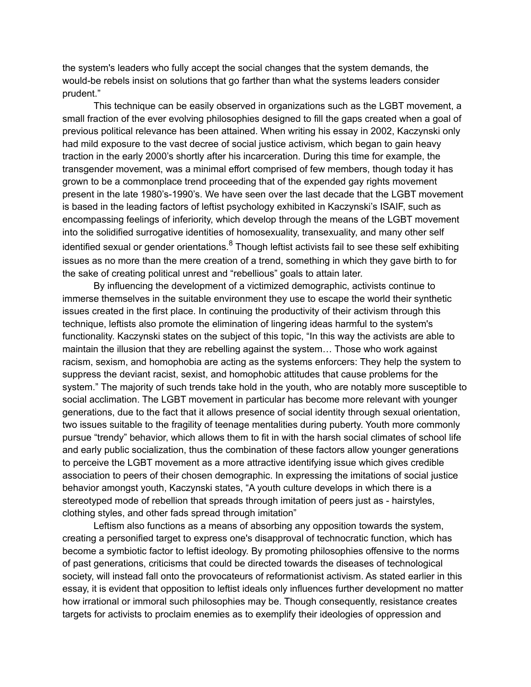the system's leaders who fully accept the social changes that the system demands, the would-be rebels insist on solutions that go farther than what the systems leaders consider prudent."

This technique can be easily observed in organizations such as the LGBT movement, a small fraction of the ever evolving philosophies designed to fill the gaps created when a goal of previous political relevance has been attained. When writing his essay in 2002, Kaczynski only had mild exposure to the vast decree of social justice activism, which began to gain heavy traction in the early 2000's shortly after his incarceration. During this time for example, the transgender movement, was a minimal effort comprised of few members, though today it has grown to be a commonplace trend proceeding that of the expended gay rights movement present in the late 1980's-1990's. We have seen over the last decade that the LGBT movement is based in the leading factors of leftist psychology exhibited in Kaczynski's ISAIF, such as encompassing feelings of inferiority, which develop through the means of the LGBT movement into the solidified surrogative identities of homosexuality, transexuality, and many other self identified sexual or gender orientations.<sup>8</sup> Though leftist activists fail to see these self exhibiting issues as no more than the mere creation of a trend, something in which they gave birth to for the sake of creating political unrest and "rebellious" goals to attain later.

By influencing the development of a victimized demographic, activists continue to immerse themselves in the suitable environment they use to escape the world their synthetic issues created in the first place. In continuing the productivity of their activism through this technique, leftists also promote the elimination of lingering ideas harmful to the system's functionality. Kaczynski states on the subject of this topic, "In this way the activists are able to maintain the illusion that they are rebelling against the system… Those who work against racism, sexism, and homophobia are acting as the systems enforcers: They help the system to suppress the deviant racist, sexist, and homophobic attitudes that cause problems for the system." The majority of such trends take hold in the youth, who are notably more susceptible to social acclimation. The LGBT movement in particular has become more relevant with younger generations, due to the fact that it allows presence of social identity through sexual orientation, two issues suitable to the fragility of teenage mentalities during puberty. Youth more commonly pursue "trendy" behavior, which allows them to fit in with the harsh social climates of school life and early public socialization, thus the combination of these factors allow younger generations to perceive the LGBT movement as a more attractive identifying issue which gives credible association to peers of their chosen demographic. In expressing the imitations of social justice behavior amongst youth, Kaczynski states, "A youth culture develops in which there is a stereotyped mode of rebellion that spreads through imitation of peers just as - hairstyles, clothing styles, and other fads spread through imitation"

Leftism also functions as a means of absorbing any opposition towards the system, creating a personified target to express one's disapproval of technocratic function, which has become a symbiotic factor to leftist ideology. By promoting philosophies offensive to the norms of past generations, criticisms that could be directed towards the diseases of technological society, will instead fall onto the provocateurs of reformationist activism. As stated earlier in this essay, it is evident that opposition to leftist ideals only influences further development no matter how irrational or immoral such philosophies may be. Though consequently, resistance creates targets for activists to proclaim enemies as to exemplify their ideologies of oppression and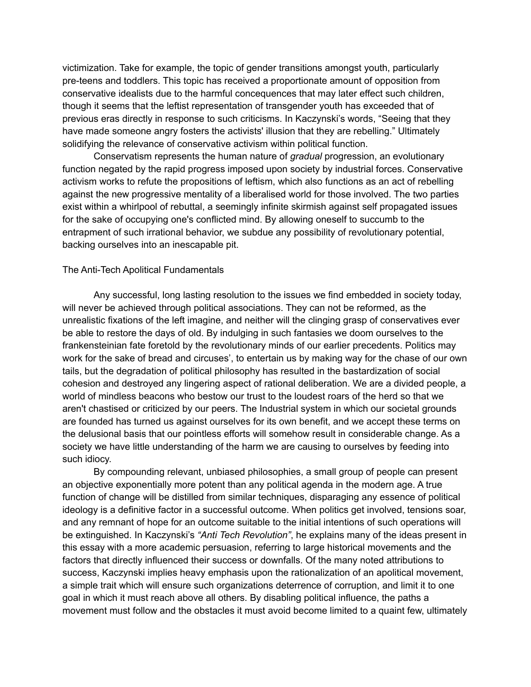victimization. Take for example, the topic of gender transitions amongst youth, particularly pre-teens and toddlers. This topic has received a proportionate amount of opposition from conservative idealists due to the harmful concequences that may later effect such children, though it seems that the leftist representation of transgender youth has exceeded that of previous eras directly in response to such criticisms. In Kaczynski's words, "Seeing that they have made someone angry fosters the activists' illusion that they are rebelling." Ultimately solidifying the relevance of conservative activism within political function.

Conservatism represents the human nature of *gradual* progression, an evolutionary function negated by the rapid progress imposed upon society by industrial forces. Conservative activism works to refute the propositions of leftism, which also functions as an act of rebelling against the new progressive mentality of a liberalised world for those involved. The two parties exist within a whirlpool of rebuttal, a seemingly infinite skirmish against self propagated issues for the sake of occupying one's conflicted mind. By allowing oneself to succumb to the entrapment of such irrational behavior, we subdue any possibility of revolutionary potential, backing ourselves into an inescapable pit.

#### The Anti-Tech Apolitical Fundamentals

Any successful, long lasting resolution to the issues we find embedded in society today, will never be achieved through political associations. They can not be reformed, as the unrealistic fixations of the left imagine, and neither will the clinging grasp of conservatives ever be able to restore the days of old. By indulging in such fantasies we doom ourselves to the frankensteinian fate foretold by the revolutionary minds of our earlier precedents. Politics may work for the sake of bread and circuses', to entertain us by making way for the chase of our own tails, but the degradation of political philosophy has resulted in the bastardization of social cohesion and destroyed any lingering aspect of rational deliberation. We are a divided people, a world of mindless beacons who bestow our trust to the loudest roars of the herd so that we aren't chastised or criticized by our peers. The Industrial system in which our societal grounds are founded has turned us against ourselves for its own benefit, and we accept these terms on the delusional basis that our pointless efforts will somehow result in considerable change. As a society we have little understanding of the harm we are causing to ourselves by feeding into such idiocy.

By compounding relevant, unbiased philosophies, a small group of people can present an objective exponentially more potent than any political agenda in the modern age. A true function of change will be distilled from similar techniques, disparaging any essence of political ideology is a definitive factor in a successful outcome. When politics get involved, tensions soar, and any remnant of hope for an outcome suitable to the initial intentions of such operations will be extinguished. In Kaczynski's *"Anti Tech Revolution"*, he explains many of the ideas present in this essay with a more academic persuasion, referring to large historical movements and the factors that directly influenced their success or downfalls. Of the many noted attributions to success, Kaczynski implies heavy emphasis upon the rationalization of an apolitical movement, a simple trait which will ensure such organizations deterrence of corruption, and limit it to one goal in which it must reach above all others. By disabling political influence, the paths a movement must follow and the obstacles it must avoid become limited to a quaint few, ultimately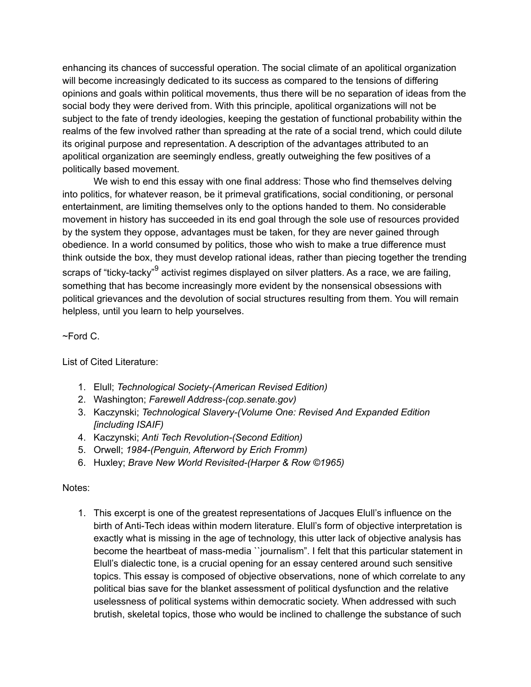enhancing its chances of successful operation. The social climate of an apolitical organization will become increasingly dedicated to its success as compared to the tensions of differing opinions and goals within political movements, thus there will be no separation of ideas from the social body they were derived from. With this principle, apolitical organizations will not be subject to the fate of trendy ideologies, keeping the gestation of functional probability within the realms of the few involved rather than spreading at the rate of a social trend, which could dilute its original purpose and representation. A description of the advantages attributed to an apolitical organization are seemingly endless, greatly outweighing the few positives of a politically based movement.

We wish to end this essay with one final address: Those who find themselves delving into politics, for whatever reason, be it primeval gratifications, social conditioning, or personal entertainment, are limiting themselves only to the options handed to them. No considerable movement in history has succeeded in its end goal through the sole use of resources provided by the system they oppose, advantages must be taken, for they are never gained through obedience. In a world consumed by politics, those who wish to make a true difference must think outside the box, they must develop rational ideas, rather than piecing together the trending scraps of "ticky-tacky"<sup>9</sup> activist regimes displayed on silver platters. As a race, we are failing, something that has become increasingly more evident by the nonsensical obsessions with political grievances and the devolution of social structures resulting from them. You will remain helpless, until you learn to help yourselves.

# $~\sim$ Ford C.

List of Cited Literature:

- 1. Elull; *Technological Society-(American Revised Edition)*
- 2. Washington; *Farewell Address-(cop.senate.gov)*
- 3. Kaczynski; *Technological Slavery-(Volume One: Revised And Expanded Edition [including ISAIF)*
- 4. Kaczynski; *Anti Tech Revolution-(Second Edition)*
- 5. Orwell; *1984-(Penguin, Afterword by Erich Fromm)*
- 6. Huxley; *Brave New World Revisited-(Harper & Row ©1965)*

# Notes:

1. This excerpt is one of the greatest representations of Jacques Elull's influence on the birth of Anti-Tech ideas within modern literature. Elull's form of objective interpretation is exactly what is missing in the age of technology, this utter lack of objective analysis has become the heartbeat of mass-media ``journalism". I felt that this particular statement in Elull's dialectic tone, is a crucial opening for an essay centered around such sensitive topics. This essay is composed of objective observations, none of which correlate to any political bias save for the blanket assessment of political dysfunction and the relative uselessness of political systems within democratic society. When addressed with such brutish, skeletal topics, those who would be inclined to challenge the substance of such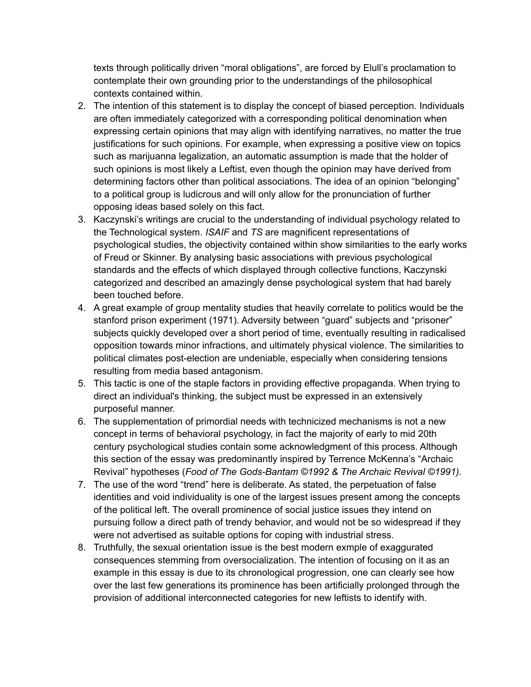texts through politically driven "moral obligations", are forced by Elull's proclamation to contemplate their own grounding prior to the understandings of the philosophical contexts contained within.

- 2. The intention of this statement is to display the concept of biased perception. Individuals are often immediately categorized with a corresponding political denomination when expressing certain opinions that may align with identifying narratives, no matter the true justifications for such opinions. For example, when expressing a positive view on topics such as marijuanna legalization, an automatic assumption is made that the holder of such opinions is most likely a Leftist, even though the opinion may have derived from determining factors other than political associations. The idea of an opinion "belonging" to a political group is ludicrous and will only allow for the pronunciation of further opposing ideas based solely on this fact.
- 3. Kaczynski's writings are crucial to the understanding of individual psychology related to the Technological system. *ISAIF* and *TS* are magnificent representations of psychological studies, the objectivity contained within show similarities to the early works of Freud or Skinner. By analysing basic associations with previous psychological standards and the effects of which displayed through collective functions, Kaczynski categorized and described an amazingly dense psychological system that had barely been touched before.
- 4. A great example of group mentality studies that heavily correlate to politics would be the stanford prison experiment (1971). Adversity between "guard" subjects and "prisoner" subjects quickly developed over a short period of time, eventually resulting in radicalised opposition towards minor infractions, and ultimately physical violence. The similarities to political climates post-election are undeniable, especially when considering tensions resulting from media based antagonism.
- 5. This tactic is one of the staple factors in providing effective propaganda. When trying to direct an individual's thinking, the subject must be expressed in an extensively purposeful manner.
- 6. The supplementation of primordial needs with technicized mechanisms is not a new concept in terms of behavioral psychology, in fact the majority of early to mid 20th century psychological studies contain some acknowledgment of this process. Although this section of the essay was predominantly inspired by Terrence McKenna's "Archaic Revival" hypotheses (*Food of The Gods-Bantam ©1992 & The Archaic Revival ©1991).*
- 7. The use of the word "trend" here is deliberate. As stated, the perpetuation of false identities and void individuality is one of the largest issues present among the concepts of the political left. The overall prominence of social justice issues they intend on pursuing follow a direct path of trendy behavior, and would not be so widespread if they were not advertised as suitable options for coping with industrial stress.
- 8. Truthfully, the sexual orientation issue is the best modern exmple of exaggurated consequences stemming from oversocialization. The intention of focusing on it as an example in this essay is due to its chronological progression, one can clearly see how over the last few generations its prominence has been artificially prolonged through the provision of additional interconnected categories for new leftists to identify with.